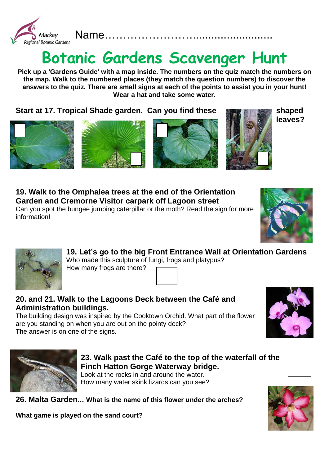

# **Botanic Gardens Scavenger Hunt**

**Pick up a 'Gardens Guide' with a map inside. The numbers on the quiz match the numbers on the map. Walk to the numbered places (they match the question numbers) to discover the answers to the quiz. There are small signs at each of the points to assist you in your hunt! Wear a hat and take some water.**

**Start at 17. Tropical Shade garden. Can you find these shaped**









**leaves?**







**19. Let's go to the big Front Entrance Wall at Orientation Gardens** Who made this sculpture of fungi, frogs and platypus? How many frogs are there?

### **20. and 21. Walk to the Lagoons Deck between the Café and Administration buildings.**

The building design was inspired by the Cooktown Orchid. What part of the flower are you standing on when you are out on the pointy deck? The answer is on one of the signs.



## **23. Walk past the Café to the top of the waterfall of the Finch Hatton Gorge Waterway bridge.** Look at the rocks in and around the water.

How many water skink lizards can you see?



**What game is played on the sand court?**



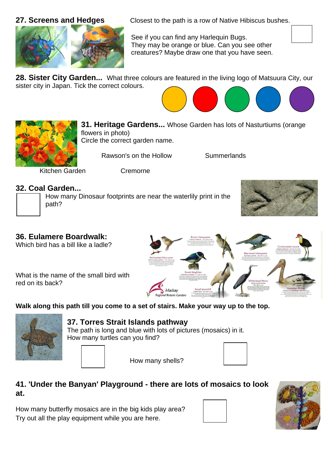

**27. Screens and Hedges** Closest to the path is a row of Native Hibiscus bushes.

See if you can find any Harlequin Bugs. They may be orange or blue. Can you see other creatures? Maybe draw one that you have seen.



**28. Sister City Garden...** What three colours are featured in the living logo of Matsuura City, our sister city in Japan. Tick the correct colours.





**31. Heritage Gardens...** Whose Garden has lots of Nasturtiums (orange flowers in photo)

Circle the correct garden name.

Rawson's on the Hollow Summerlands

Kitchen Garden Cremorne

**32. Coal Garden...**

How many Dinosaur footprints are near the waterlily print in the path?



**36. Eulamere Boardwalk:**

Which bird has a bill like a ladle?

What is the name of the small bird with red on its back?



**Walk along this path till you come to a set of stairs. Make your way up to the top.**



#### **37. Torres Strait Islands pathway**

The path is long and blue with lots of pictures (mosaics) in it. How many turtles can you find?

How many shells?



How many butterfly mosaics are in the big kids play area? Try out all the play equipment while you are here.